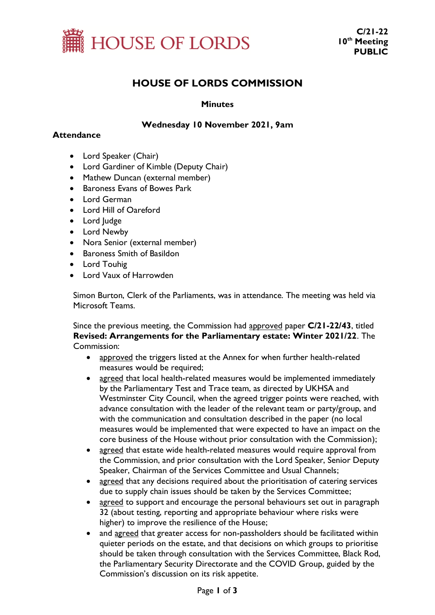

## **HOUSE OF LORDS COMMISSION**

#### **Minutes**

#### **Wednesday 10 November 2021, 9am**

#### **Attendance**

- Lord Speaker (Chair)
- Lord Gardiner of Kimble (Deputy Chair)
- Mathew Duncan (external member)
- Baroness Evans of Bowes Park
- Lord German
- Lord Hill of Oareford
- Lord Judge
- Lord Newby
- Nora Senior (external member)
- Baroness Smith of Basildon
- Lord Touhig
- Lord Vaux of Harrowden

Simon Burton, Clerk of the Parliaments, was in attendance. The meeting was held via Microsoft Teams.

Since the previous meeting, the Commission had approved paper **C/21-22/43**, titled **Revised: Arrangements for the Parliamentary estate: Winter 2021/22**. The Commission:

- approved the triggers listed at the Annex for when further health-related measures would be required;
- agreed that local health-related measures would be implemented immediately by the Parliamentary Test and Trace team, as directed by UKHSA and Westminster City Council, when the agreed trigger points were reached, with advance consultation with the leader of the relevant team or party/group, and with the communication and consultation described in the paper (no local measures would be implemented that were expected to have an impact on the core business of the House without prior consultation with the Commission);
- agreed that estate wide health-related measures would require approval from the Commission, and prior consultation with the Lord Speaker, Senior Deputy Speaker, Chairman of the Services Committee and Usual Channels;
- agreed that any decisions required about the prioritisation of catering services due to supply chain issues should be taken by the Services Committee;
- agreed to support and encourage the personal behaviours set out in paragraph 32 (about testing, reporting and appropriate behaviour where risks were higher) to improve the resilience of the House;
- and agreed that greater access for non-passholders should be facilitated within quieter periods on the estate, and that decisions on which groups to prioritise should be taken through consultation with the Services Committee, Black Rod, the Parliamentary Security Directorate and the COVID Group, guided by the Commission's discussion on its risk appetite.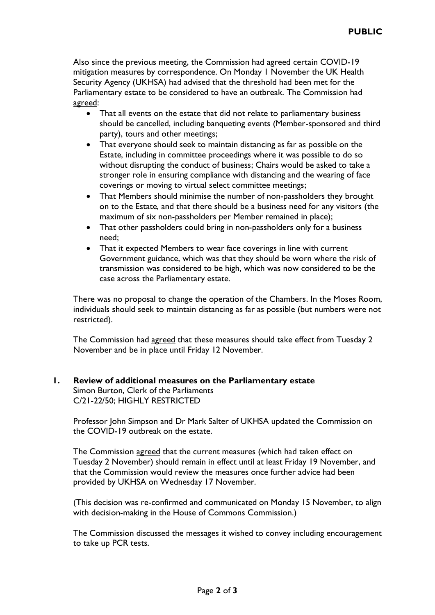Also since the previous meeting, the Commission had agreed certain COVID-19 mitigation measures by correspondence. On Monday 1 November the UK Health Security Agency (UKHSA) had advised that the threshold had been met for the Parliamentary estate to be considered to have an outbreak. The Commission had agreed:

- That all events on the estate that did not relate to parliamentary business should be cancelled, including banqueting events (Member-sponsored and third party), tours and other meetings;
- That everyone should seek to maintain distancing as far as possible on the Estate, including in committee proceedings where it was possible to do so without disrupting the conduct of business; Chairs would be asked to take a stronger role in ensuring compliance with distancing and the wearing of face coverings or moving to virtual select committee meetings;
- That Members should minimise the number of non-passholders they brought on to the Estate, and that there should be a business need for any visitors (the maximum of six non-passholders per Member remained in place);
- That other passholders could bring in non-passholders only for a business need;
- That it expected Members to wear face coverings in line with current Government guidance, which was that they should be worn where the risk of transmission was considered to be high, which was now considered to be the case across the Parliamentary estate.

There was no proposal to change the operation of the Chambers. In the Moses Room, individuals should seek to maintain distancing as far as possible (but numbers were not restricted).

The Commission had agreed that these measures should take effect from Tuesday 2 November and be in place until Friday 12 November.

# **1. Review of additional measures on the Parliamentary estate**

Simon Burton, Clerk of the Parliaments C/21-22/50; HIGHLY RESTRICTED

Professor John Simpson and Dr Mark Salter of UKHSA updated the Commission on the COVID-19 outbreak on the estate.

The Commission agreed that the current measures (which had taken effect on Tuesday 2 November) should remain in effect until at least Friday 19 November, and that the Commission would review the measures once further advice had been provided by UKHSA on Wednesday 17 November.

(This decision was re-confirmed and communicated on Monday 15 November, to align with decision-making in the House of Commons Commission.)

The Commission discussed the messages it wished to convey including encouragement to take up PCR tests.